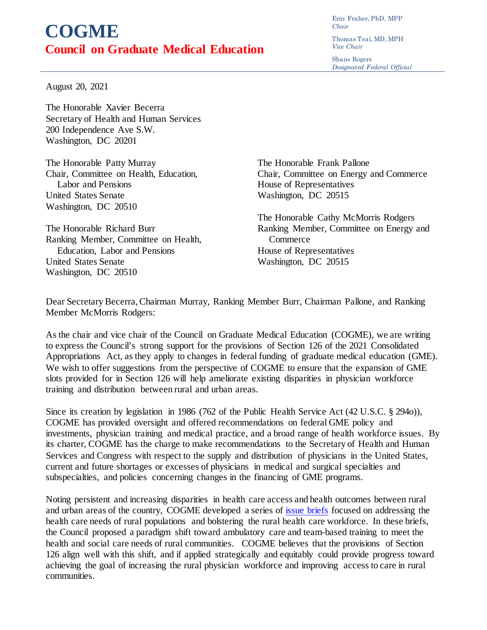## **COGME Council on Graduate Medical Education**

Erin Fraher, PhD, MPP *Chair*

Thomas Tsai, MD, MPH *Vice Chair* 

Shane Rogers *Designated Federal Official*

August 20, 2021

The Honorable Xavier Becerra Secretary of Health and Human Services 200 Independence Ave S.W. Washington, DC 20201

The Honorable Patty Murray Chair, Committee on Health, Education, Labor and Pensions United States Senate Washington, DC 20510

The Honorable Richard Burr Ranking Member, Committee on Health, Education, Labor and Pensions United States Senate Washington, DC 20510

The Honorable Frank Pallone Chair, Committee on Energy and Commerce House of Representatives Washington, DC 20515

The Honorable Cathy McMorris Rodgers Ranking Member, Committee on Energy and **Commerce** House of Representatives Washington, DC 20515

Dear Secretary Becerra, Chairman Murray, Ranking Member Burr, Chairman Pallone, and Ranking Member McMorris Rodgers:

As the chair and vice chair of the Council on Graduate Medical Education (COGME), we are writing to express the Council's strong support for the provisions of Section 126 of the 2021 Consolidated Appropriations Act, as they apply to changes in federal funding of graduate medical education (GME). We wish to offer suggestions from the perspective of COGME to ensure that the expansion of GME slots provided for in Section 126 will help ameliorate existing disparities in physician workforce training and distribution between rural and urban areas.

Since its creation by legislation in 1986 (762 of the Public Health Service Act (42 U.S.C. § 294o)), COGME has provided oversight and offered recommendations on federal GME policy and investments, physician training and medical practice, and a broad range of health workforce issues. By its charter, COGME has the charge to make recommendations to the Secretary of Health and Human Services and Congress with respect to the supply and distribution of physicians in the United States, current and future shortages or excesses of physicians in medical and surgical specialties and subspecialties, and policies concerning changes in the financing of GME programs.

Noting persistent and increasing disparities in health care access and health outcomes between rural and urban areas of the country, COGME developed a series of [issue briefs](https://www.hrsa.gov/advisory-committees/graduate-medical-edu/publications.html) focused on addressing the health care needs of rural populations and bolstering the rural health care workforce. In these briefs, the Council proposed a paradigm shift toward ambulatory care and team-based training to meet the health and social care needs of rural communities. COGME believes that the provisions of Section 126 align well with this shift, and if applied strategically and equitably could provide progress toward achieving the goal of increasing the rural physician workforce and improving access to care in rural communities.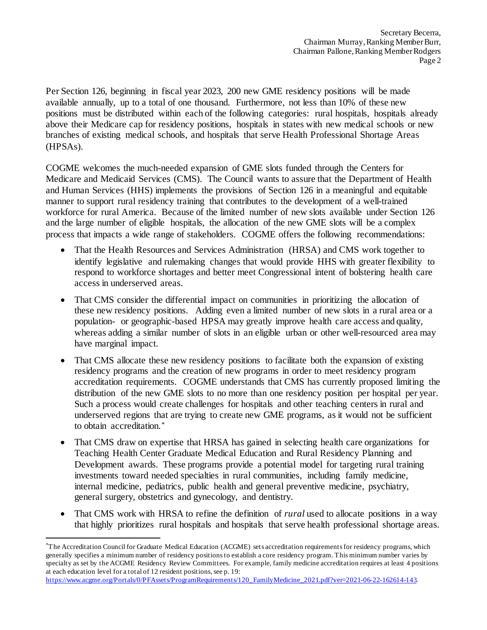Per Section 126, beginning in fiscal year 2023, 200 new GME residency positions will be made available annually, up to a total of one thousand. Furthermore, not less than 10% of these new positions must be distributed within each of the following categories: rural hospitals, hospitals already above their Medicare cap for residency positions, hospitals in states with new medical schools or new branches of existing medical schools, and hospitals that serve Health Professional Shortage Areas (HPSAs).

COGME welcomes the much-needed expansion of GME slots funded through the Centers for Medicare and Medicaid Services (CMS). The Council wants to assure that the Department of Health and Human Services (HHS) implements the provisions of Section 126 in a meaningful and equitable manner to support rural residency training that contributes to the development of a well-trained workforce for rural America. Because of the limited number of new slots available under Section 126 and the large number of eligible hospitals, the allocation of the new GME slots will be a complex process that impacts a wide range of stakeholders. COGME offers the following recommendations:

- That the Health Resources and Services Administration (HRSA) and CMS work together to identify legislative and rulemaking changes that would provide HHS with greater flexibility to respond to workforce shortages and better meet Congressional intent of bolstering health care access in underserved areas.
- That CMS consider the differential impact on communities in prioritizing the allocation of these new residency positions. Adding even a limited number of new slots in a rural area or a population- or geographic-based HPSA may greatly improve health care access and quality, whereas adding a similar number of slots in an eligible urban or other well-resourced area may have marginal impact.
- That CMS allocate these new residency positions to facilitate both the expansion of existing residency programs and the creation of new programs in order to meet residency program accreditation requirements. COGME understands that CMS has currently proposed limiting the distribution of the new GME slots to no more than one residency position per hospital per year. Such a process would create challenges for hospitals and other teaching centers in rural and underserved regions that are trying to create new GME programs, as it would not be sufficient to obtain accreditation.[\\*](#page-1-0)
- That CMS draw on expertise that HRSA has gained in selecting health care organizations for Teaching Health Center Graduate Medical Education and Rural Residency Planning and Development awards. These programs provide a potential model for targeting rural training investments toward needed specialties in rural communities, including family medicine, internal medicine, pediatrics, public health and general preventive medicine, psychiatry, general surgery, obstetrics and gynecology, and dentistry.
- That CMS work with HRSA to refine the definition of *rural* used to allocate positions in a way that highly prioritizes rural hospitals and hospitals that serve health professional shortage areas.

l

<span id="page-1-0"></span><sup>\*</sup> The Accreditation Council for Graduate Medical Education (ACGME) sets accreditation requirements for residency programs, which generally specifies a minimum number of residency positions to establish a core residency program. This minimum number varies by specialty as set by the ACGME Residency Review Committees. For example, family medicine accreditation requires at least 4 positions at each education level for a total of 12 resident positions, see p. 19:

[https://www.acgme.org/Portals/0/PFAssets/ProgramRequirements/120\\_FamilyMedicine\\_2021.pdf?ver=2021-06-22-162614-143](https://www.acgme.org/Portals/0/PFAssets/ProgramRequirements/120_FamilyMedicine_2021.pdf?ver=2021-06-22-162614-143).